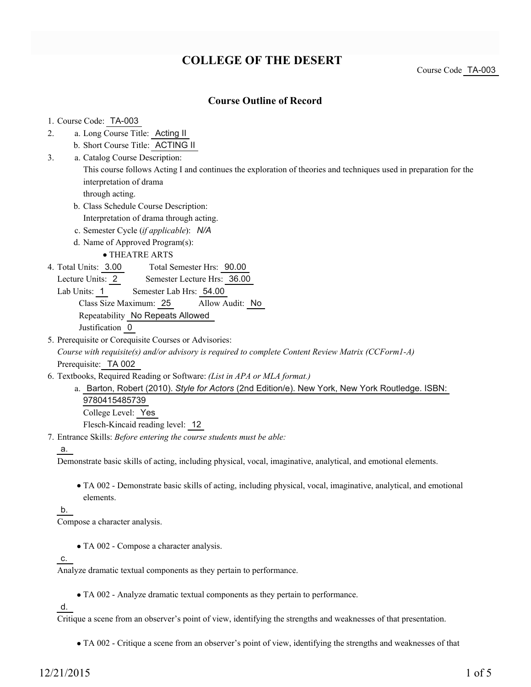## **COLLEGE OF THE DESERT**

Course Code TA-003

### **Course Outline of Record**

1. Course Code: TA-003

- a. Long Course Title: Acting II 2.
	- b. Short Course Title: ACTING II
- Catalog Course Description: a. 3.

This course follows Acting I and continues the exploration of theories and techniques used in preparation for the interpretation of drama

through acting.

- b. Class Schedule Course Description:
- Interpretation of drama through acting.
- c. Semester Cycle (*if applicable*): *N/A*
- d. Name of Approved Program(s):

THEATRE ARTS

- Total Semester Hrs: 90.00 4. Total Units: 3.00
	- Lecture Units: 2 Semester Lecture Hrs: 36.00
- Lab Units: 1 Semester Lab Hrs: 54.00 Class Size Maximum: 25 Allow Audit: No Repeatability No Repeats Allowed Justification 0
- 5. Prerequisite or Corequisite Courses or Advisories:

*Course with requisite(s) and/or advisory is required to complete Content Review Matrix (CCForm1-A)* Prerequisite: TA 002

- Textbooks, Required Reading or Software: *(List in APA or MLA format.)* 6.
	- a. Barton, Robert (2010). Style for Actors (2nd Edition/e). New York, New York Routledge. ISBN: 9780415485739 College Level: Yes Flesch-Kincaid reading level: 12
- Entrance Skills: *Before entering the course students must be able:* 7.

a.

Demonstrate basic skills of acting, including physical, vocal, imaginative, analytical, and emotional elements.

TA 002 - Demonstrate basic skills of acting, including physical, vocal, imaginative, analytical, and emotional elements.

b.

Compose a character analysis.

TA 002 - Compose a character analysis.

c.

Analyze dramatic textual components as they pertain to performance.

TA 002 - Analyze dramatic textual components as they pertain to performance.

d.

Critique a scene from an observer's point of view, identifying the strengths and weaknesses of that presentation.

TA 002 - Critique a scene from an observer's point of view, identifying the strengths and weaknesses of that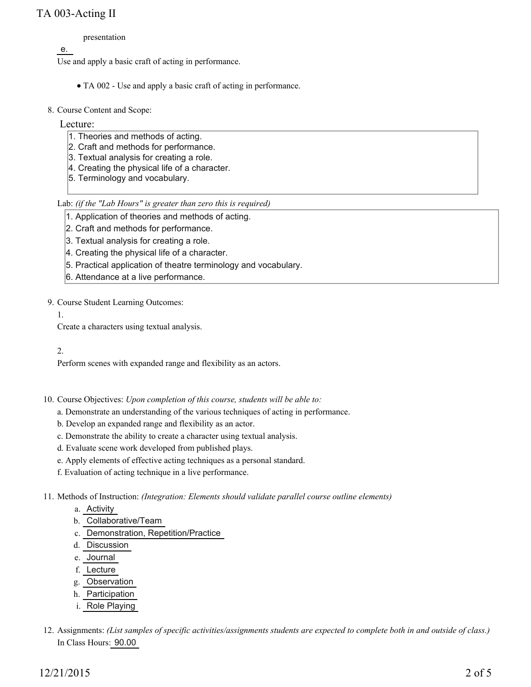## TA 003-Acting II

presentation

e.

Use and apply a basic craft of acting in performance.

- TA 002 Use and apply a basic craft of acting in performance.
- 8. Course Content and Scope:

#### Lecture:

- 1. Theories and methods of acting.
- 2. Craft and methods for performance.
- 3. Textual analysis for creating a role.
- 4. Creating the physical life of a character.
- 5. Terminology and vocabulary.

Lab: *(if the "Lab Hours" is greater than zero this is required)*

1. Application of theories and methods of acting.

- 2. Craft and methods for performance.
- 3. Textual analysis for creating a role.
- 4. Creating the physical life of a character.
- 5. Practical application of theatre terminology and vocabulary.
- 6. Attendance at a live performance.

9. Course Student Learning Outcomes:

1.

Create a characters using textual analysis.

#### 2.

Perform scenes with expanded range and flexibility as an actors.

- 10. Course Objectives: Upon completion of this course, students will be able to:
	- a. Demonstrate an understanding of the various techniques of acting in performance.
	- b. Develop an expanded range and flexibility as an actor.
	- c. Demonstrate the ability to create a character using textual analysis.
	- d. Evaluate scene work developed from published plays.
	- e. Apply elements of effective acting techniques as a personal standard.
	- f. Evaluation of acting technique in a live performance.

Methods of Instruction: *(Integration: Elements should validate parallel course outline elements)* 11.

- a. Activity
- b. Collaborative/Team
- c. Demonstration, Repetition/Practice
- d. Discussion
- e. Journal
- f. Lecture
- g. Observation
- h. Participation
- i. Role Playing
- 12. Assignments: (List samples of specific activities/assignments students are expected to complete both in and outside of class.) In Class Hours: 90.00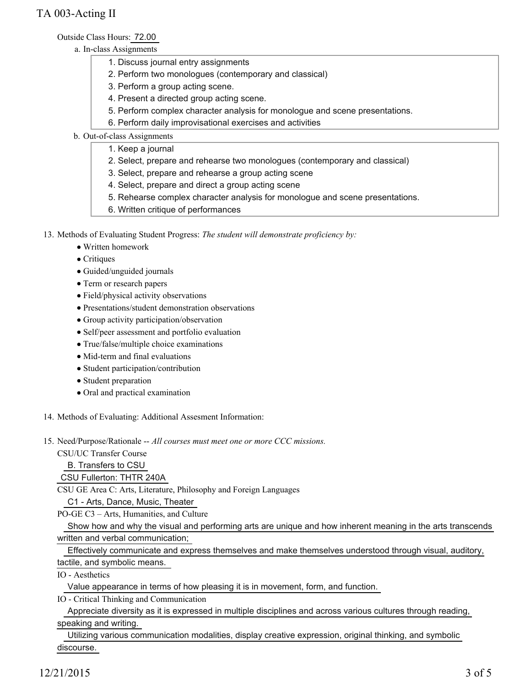Outside Class Hours: 72.00

- a. In-class Assignments
	- 1. Discuss journal entry assignments
	- 2. Perform two monologues (contemporary and classical)
	- 3. Perform a group acting scene.
	- 4. Present a directed group acting scene.
	- 5. Perform complex character analysis for monologue and scene presentations.
	- 6. Perform daily improvisational exercises and activities
- b. Out-of-class Assignments
	- 1. Keep a journal
	- 2. Select, prepare and rehearse two monologues (contemporary and classical)
	- 3. Select, prepare and rehearse a group acting scene
	- 4. Select, prepare and direct a group acting scene
	- 5. Rehearse complex character analysis for monologue and scene presentations.
	- 6. Written critique of performances

13. Methods of Evaluating Student Progress: The student will demonstrate proficiency by:

- Written homework
- Critiques
- Guided/unguided journals
- Term or research papers
- Field/physical activity observations
- Presentations/student demonstration observations
- Group activity participation/observation
- Self/peer assessment and portfolio evaluation
- True/false/multiple choice examinations
- Mid-term and final evaluations
- Student participation/contribution
- Student preparation
- Oral and practical examination
- 14. Methods of Evaluating: Additional Assesment Information:
- 15. Need/Purpose/Rationale -- All courses must meet one or more CCC missions.

CSU/UC Transfer Course

B. Transfers to CSU

### CSU Fullerton: THTR 240A

CSU GE Area C: Arts, Literature, Philosophy and Foreign Languages

C1 - Arts, Dance, Music, Theater

PO-GE C3 – Arts, Humanities, and Culture

 Show how and why the visual and performing arts are unique and how inherent meaning in the arts transcends written and verbal communication;

 Effectively communicate and express themselves and make themselves understood through visual, auditory, tactile, and symbolic means.

IO - Aesthetics

Value appearance in terms of how pleasing it is in movement, form, and function.

IO - Critical Thinking and Communication

 Appreciate diversity as it is expressed in multiple disciplines and across various cultures through reading, speaking and writing.

 Utilizing various communication modalities, display creative expression, original thinking, and symbolic discourse.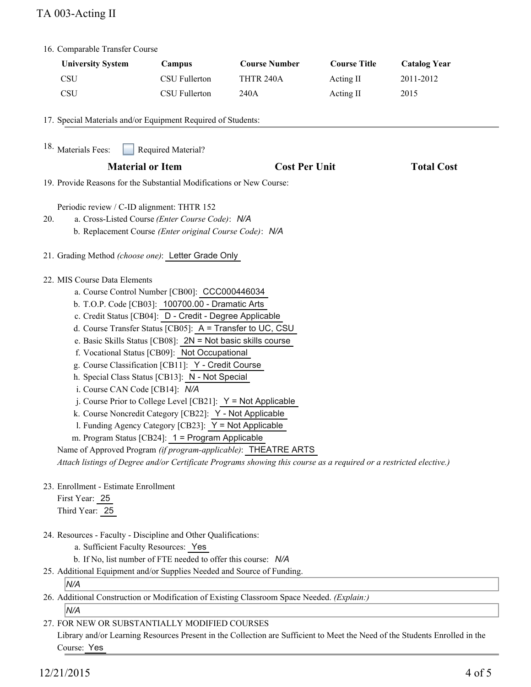# TA 003-Acting II

| 16. Comparable Transfer Course                                                                                                                                                                                                                                                                                                                                                                                                                                                                                                                                                                                                                                                                                                                                                                                                                                                                                                                        |                                                               |                      |                     |                     |
|-------------------------------------------------------------------------------------------------------------------------------------------------------------------------------------------------------------------------------------------------------------------------------------------------------------------------------------------------------------------------------------------------------------------------------------------------------------------------------------------------------------------------------------------------------------------------------------------------------------------------------------------------------------------------------------------------------------------------------------------------------------------------------------------------------------------------------------------------------------------------------------------------------------------------------------------------------|---------------------------------------------------------------|----------------------|---------------------|---------------------|
| <b>University System</b>                                                                                                                                                                                                                                                                                                                                                                                                                                                                                                                                                                                                                                                                                                                                                                                                                                                                                                                              | Campus                                                        | <b>Course Number</b> | <b>Course Title</b> | <b>Catalog Year</b> |
| <b>CSU</b>                                                                                                                                                                                                                                                                                                                                                                                                                                                                                                                                                                                                                                                                                                                                                                                                                                                                                                                                            | <b>CSU Fullerton</b>                                          | THTR 240A            | Acting II           | 2011-2012           |
| <b>CSU</b>                                                                                                                                                                                                                                                                                                                                                                                                                                                                                                                                                                                                                                                                                                                                                                                                                                                                                                                                            | CSU Fullerton                                                 | 240A                 | Acting II           | 2015                |
| 17. Special Materials and/or Equipment Required of Students:<br><sup>18.</sup> Materials Fees:<br>Required Material?                                                                                                                                                                                                                                                                                                                                                                                                                                                                                                                                                                                                                                                                                                                                                                                                                                  |                                                               |                      |                     |                     |
|                                                                                                                                                                                                                                                                                                                                                                                                                                                                                                                                                                                                                                                                                                                                                                                                                                                                                                                                                       |                                                               | <b>Cost Per Unit</b> |                     | <b>Total Cost</b>   |
| <b>Material or Item</b><br>19. Provide Reasons for the Substantial Modifications or New Course:                                                                                                                                                                                                                                                                                                                                                                                                                                                                                                                                                                                                                                                                                                                                                                                                                                                       |                                                               |                      |                     |                     |
| Periodic review / C-ID alignment: THTR 152<br>a. Cross-Listed Course (Enter Course Code): N/A<br>20.<br>b. Replacement Course (Enter original Course Code): N/A                                                                                                                                                                                                                                                                                                                                                                                                                                                                                                                                                                                                                                                                                                                                                                                       |                                                               |                      |                     |                     |
| 21. Grading Method (choose one): Letter Grade Only                                                                                                                                                                                                                                                                                                                                                                                                                                                                                                                                                                                                                                                                                                                                                                                                                                                                                                    |                                                               |                      |                     |                     |
| 22. MIS Course Data Elements<br>a. Course Control Number [CB00]: CCC000446034<br>b. T.O.P. Code [CB03]: 100700.00 - Dramatic Arts<br>c. Credit Status [CB04]: D - Credit - Degree Applicable<br>d. Course Transfer Status [CB05]: A = Transfer to UC, CSU<br>e. Basic Skills Status [CB08]: 2N = Not basic skills course<br>f. Vocational Status [CB09]: Not Occupational<br>g. Course Classification [CB11]: Y - Credit Course<br>h. Special Class Status [CB13]: N - Not Special<br>i. Course CAN Code [CB14]: N/A<br>j. Course Prior to College Level [CB21]: $Y = Not$ Applicable<br>k. Course Noncredit Category [CB22]: Y - Not Applicable<br>l. Funding Agency Category [CB23]: Y = Not Applicable<br>m. Program Status [CB24]: 1 = Program Applicable<br>Name of Approved Program (if program-applicable): THEATRE ARTS<br>Attach listings of Degree and/or Certificate Programs showing this course as a required or a restricted elective.) |                                                               |                      |                     |                     |
| 23. Enrollment - Estimate Enrollment<br>First Year: 25<br>Third Year: 25                                                                                                                                                                                                                                                                                                                                                                                                                                                                                                                                                                                                                                                                                                                                                                                                                                                                              |                                                               |                      |                     |                     |
| 24. Resources - Faculty - Discipline and Other Qualifications:<br>a. Sufficient Faculty Resources: Yes<br>25. Additional Equipment and/or Supplies Needed and Source of Funding.<br>N/A                                                                                                                                                                                                                                                                                                                                                                                                                                                                                                                                                                                                                                                                                                                                                               | b. If No, list number of FTE needed to offer this course: N/A |                      |                     |                     |
| 26. Additional Construction or Modification of Existing Classroom Space Needed. (Explain:)<br>N/A                                                                                                                                                                                                                                                                                                                                                                                                                                                                                                                                                                                                                                                                                                                                                                                                                                                     |                                                               |                      |                     |                     |

FOR NEW OR SUBSTANTIALLY MODIFIED COURSES 27.

Library and/or Learning Resources Present in the Collection are Sufficient to Meet the Need of the Students Enrolled in the Course: Yes